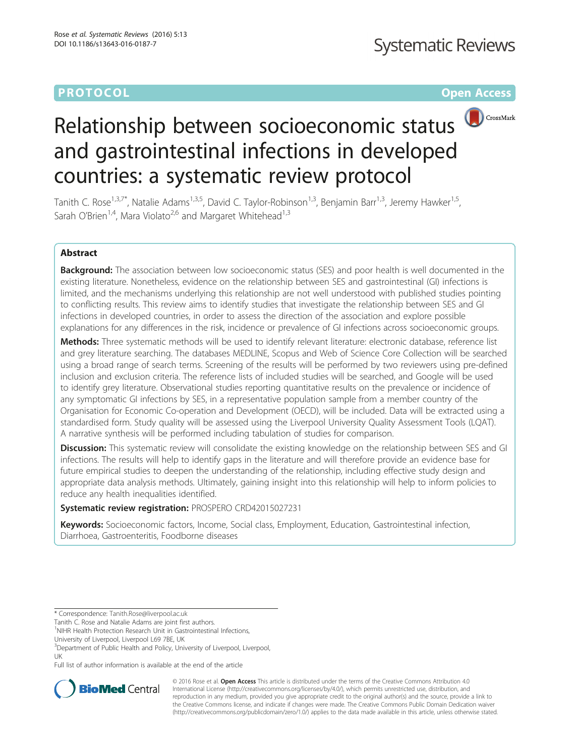# **PROTOCOL CONSUMING THE CONSUMING TEACHER CONSUMING THE CONSUMING TEACHER CONSUMING THE CONSUMING TEACHER CONSUMING**



# Relationship between socioeconomic status and gastrointestinal infections in developed countries: a systematic review protocol

Tanith C. Rose<sup>1,3,7\*</sup>, Natalie Adams<sup>1,3,5</sup>, David C. Taylor-Robinson<sup>1,3</sup>, Benjamin Barr<sup>1,3</sup>, Jeremy Hawker<sup>1,5</sup>, Sarah O'Brien<sup>1,4</sup>, Mara Violato<sup>2,6</sup> and Margaret Whitehead<sup>1,3</sup>

# Abstract

Background: The association between low socioeconomic status (SES) and poor health is well documented in the existing literature. Nonetheless, evidence on the relationship between SES and gastrointestinal (GI) infections is limited, and the mechanisms underlying this relationship are not well understood with published studies pointing to conflicting results. This review aims to identify studies that investigate the relationship between SES and GI infections in developed countries, in order to assess the direction of the association and explore possible explanations for any differences in the risk, incidence or prevalence of GI infections across socioeconomic groups.

Methods: Three systematic methods will be used to identify relevant literature: electronic database, reference list and grey literature searching. The databases MEDLINE, Scopus and Web of Science Core Collection will be searched using a broad range of search terms. Screening of the results will be performed by two reviewers using pre-defined inclusion and exclusion criteria. The reference lists of included studies will be searched, and Google will be used to identify grey literature. Observational studies reporting quantitative results on the prevalence or incidence of any symptomatic GI infections by SES, in a representative population sample from a member country of the Organisation for Economic Co-operation and Development (OECD), will be included. Data will be extracted using a standardised form. Study quality will be assessed using the Liverpool University Quality Assessment Tools (LQAT). A narrative synthesis will be performed including tabulation of studies for comparison.

Discussion: This systematic review will consolidate the existing knowledge on the relationship between SES and GI infections. The results will help to identify gaps in the literature and will therefore provide an evidence base for future empirical studies to deepen the understanding of the relationship, including effective study design and appropriate data analysis methods. Ultimately, gaining insight into this relationship will help to inform policies to reduce any health inequalities identified.

Systematic review registration: [PROSPERO CRD42015027231](http://www.crd.york.ac.uk/PROSPERO/display_record.asp?ID=CRD42015027231)

Keywords: Socioeconomic factors, Income, Social class, Employment, Education, Gastrointestinal infection, Diarrhoea, Gastroenteritis, Foodborne diseases

University of Liverpool, Liverpool L69 7BE, UK

Full list of author information is available at the end of the article



© 2016 Rose et al. Open Access This article is distributed under the terms of the Creative Commons Attribution 4.0 International License [\(http://creativecommons.org/licenses/by/4.0/](http://creativecommons.org/licenses/by/4.0/)), which permits unrestricted use, distribution, and reproduction in any medium, provided you give appropriate credit to the original author(s) and the source, provide a link to the Creative Commons license, and indicate if changes were made. The Creative Commons Public Domain Dedication waiver [\(http://creativecommons.org/publicdomain/zero/1.0/](http://creativecommons.org/publicdomain/zero/1.0/)) applies to the data made available in this article, unless otherwise stated.

<sup>\*</sup> Correspondence: [Tanith.Rose@liverpool.ac.uk](mailto:Tanith.Rose@liverpool.ac.uk)

Tanith C. Rose and Natalie Adams are joint first authors.

<sup>&</sup>lt;sup>1</sup>NIHR Health Protection Research Unit in Gastrointestinal Infections,

<sup>&</sup>lt;sup>3</sup>Department of Public Health and Policy, University of Liverpool, Liverpool, UK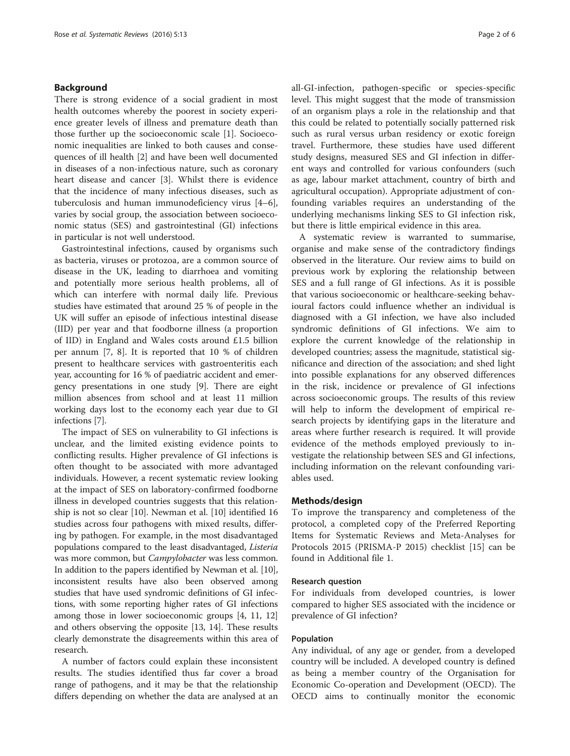# Background

There is strong evidence of a social gradient in most health outcomes whereby the poorest in society experience greater levels of illness and premature death than those further up the socioeconomic scale [[1\]](#page-4-0). Socioeconomic inequalities are linked to both causes and consequences of ill health [\[2](#page-4-0)] and have been well documented in diseases of a non-infectious nature, such as coronary heart disease and cancer [[3\]](#page-4-0). Whilst there is evidence that the incidence of many infectious diseases, such as tuberculosis and human immunodeficiency virus [\[4](#page-4-0)–[6](#page-4-0)], varies by social group, the association between socioeconomic status (SES) and gastrointestinal (GI) infections in particular is not well understood.

Gastrointestinal infections, caused by organisms such as bacteria, viruses or protozoa, are a common source of disease in the UK, leading to diarrhoea and vomiting and potentially more serious health problems, all of which can interfere with normal daily life. Previous studies have estimated that around 25 % of people in the UK will suffer an episode of infectious intestinal disease (IID) per year and that foodborne illness (a proportion of IID) in England and Wales costs around £1.5 billion per annum [[7, 8](#page-4-0)]. It is reported that 10 % of children present to healthcare services with gastroenteritis each year, accounting for 16 % of paediatric accident and emergency presentations in one study [\[9\]](#page-4-0). There are eight million absences from school and at least 11 million working days lost to the economy each year due to GI infections [\[7](#page-4-0)].

The impact of SES on vulnerability to GI infections is unclear, and the limited existing evidence points to conflicting results. Higher prevalence of GI infections is often thought to be associated with more advantaged individuals. However, a recent systematic review looking at the impact of SES on laboratory-confirmed foodborne illness in developed countries suggests that this relationship is not so clear [[10\]](#page-4-0). Newman et al. [\[10](#page-4-0)] identified 16 studies across four pathogens with mixed results, differing by pathogen. For example, in the most disadvantaged populations compared to the least disadvantaged, Listeria was more common, but *Campylobacter* was less common. In addition to the papers identified by Newman et al. [[10](#page-4-0)], inconsistent results have also been observed among studies that have used syndromic definitions of GI infections, with some reporting higher rates of GI infections among those in lower socioeconomic groups [[4](#page-4-0), [11](#page-4-0), [12](#page-5-0)] and others observing the opposite [\[13, 14\]](#page-5-0). These results clearly demonstrate the disagreements within this area of research.

A number of factors could explain these inconsistent results. The studies identified thus far cover a broad range of pathogens, and it may be that the relationship differs depending on whether the data are analysed at an all-GI-infection, pathogen-specific or species-specific level. This might suggest that the mode of transmission of an organism plays a role in the relationship and that this could be related to potentially socially patterned risk such as rural versus urban residency or exotic foreign travel. Furthermore, these studies have used different study designs, measured SES and GI infection in different ways and controlled for various confounders (such as age, labour market attachment, country of birth and agricultural occupation). Appropriate adjustment of confounding variables requires an understanding of the underlying mechanisms linking SES to GI infection risk, but there is little empirical evidence in this area.

A systematic review is warranted to summarise, organise and make sense of the contradictory findings observed in the literature. Our review aims to build on previous work by exploring the relationship between SES and a full range of GI infections. As it is possible that various socioeconomic or healthcare-seeking behavioural factors could influence whether an individual is diagnosed with a GI infection, we have also included syndromic definitions of GI infections. We aim to explore the current knowledge of the relationship in developed countries; assess the magnitude, statistical significance and direction of the association; and shed light into possible explanations for any observed differences in the risk, incidence or prevalence of GI infections across socioeconomic groups. The results of this review will help to inform the development of empirical research projects by identifying gaps in the literature and areas where further research is required. It will provide evidence of the methods employed previously to investigate the relationship between SES and GI infections, including information on the relevant confounding variables used.

#### Methods/design

To improve the transparency and completeness of the protocol, a completed copy of the Preferred Reporting Items for Systematic Reviews and Meta-Analyses for Protocols 2015 (PRISMA-P 2015) checklist [[15](#page-5-0)] can be found in Additional file [1.](#page-4-0)

#### Research question

For individuals from developed countries, is lower compared to higher SES associated with the incidence or prevalence of GI infection?

# Population

Any individual, of any age or gender, from a developed country will be included. A developed country is defined as being a member country of the Organisation for Economic Co-operation and Development (OECD). The OECD aims to continually monitor the economic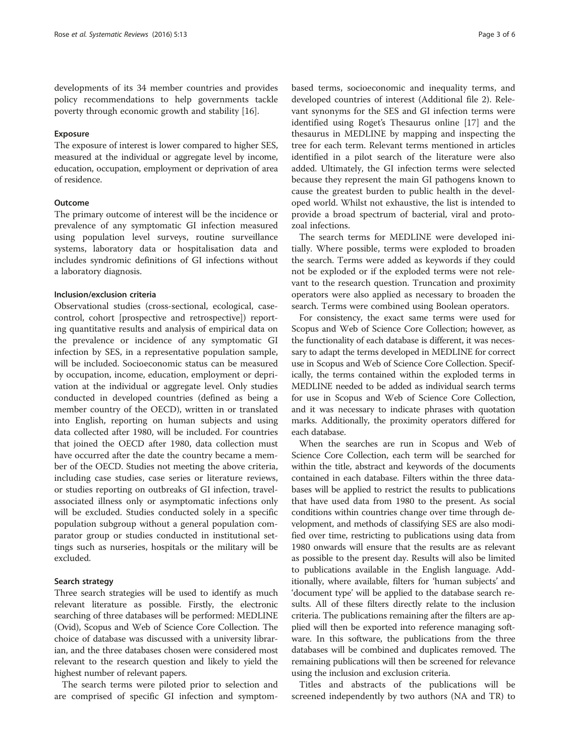developments of its 34 member countries and provides policy recommendations to help governments tackle poverty through economic growth and stability [[16\]](#page-5-0).

# Exposure

The exposure of interest is lower compared to higher SES, measured at the individual or aggregate level by income, education, occupation, employment or deprivation of area of residence.

# Outcome

The primary outcome of interest will be the incidence or prevalence of any symptomatic GI infection measured using population level surveys, routine surveillance systems, laboratory data or hospitalisation data and includes syndromic definitions of GI infections without a laboratory diagnosis.

# Inclusion/exclusion criteria

Observational studies (cross-sectional, ecological, casecontrol, cohort [prospective and retrospective]) reporting quantitative results and analysis of empirical data on the prevalence or incidence of any symptomatic GI infection by SES, in a representative population sample, will be included. Socioeconomic status can be measured by occupation, income, education, employment or deprivation at the individual or aggregate level. Only studies conducted in developed countries (defined as being a member country of the OECD), written in or translated into English, reporting on human subjects and using data collected after 1980, will be included. For countries that joined the OECD after 1980, data collection must have occurred after the date the country became a member of the OECD. Studies not meeting the above criteria, including case studies, case series or literature reviews, or studies reporting on outbreaks of GI infection, travelassociated illness only or asymptomatic infections only will be excluded. Studies conducted solely in a specific population subgroup without a general population comparator group or studies conducted in institutional settings such as nurseries, hospitals or the military will be excluded.

# Search strategy

Three search strategies will be used to identify as much relevant literature as possible. Firstly, the electronic searching of three databases will be performed: MEDLINE (Ovid), Scopus and Web of Science Core Collection. The choice of database was discussed with a university librarian, and the three databases chosen were considered most relevant to the research question and likely to yield the highest number of relevant papers.

The search terms were piloted prior to selection and are comprised of specific GI infection and symptombased terms, socioeconomic and inequality terms, and developed countries of interest (Additional file [2](#page-4-0)). Relevant synonyms for the SES and GI infection terms were identified using Roget's Thesaurus online [\[17\]](#page-5-0) and the thesaurus in MEDLINE by mapping and inspecting the tree for each term. Relevant terms mentioned in articles identified in a pilot search of the literature were also added. Ultimately, the GI infection terms were selected because they represent the main GI pathogens known to cause the greatest burden to public health in the developed world. Whilst not exhaustive, the list is intended to provide a broad spectrum of bacterial, viral and protozoal infections.

The search terms for MEDLINE were developed initially. Where possible, terms were exploded to broaden the search. Terms were added as keywords if they could not be exploded or if the exploded terms were not relevant to the research question. Truncation and proximity operators were also applied as necessary to broaden the search. Terms were combined using Boolean operators.

For consistency, the exact same terms were used for Scopus and Web of Science Core Collection; however, as the functionality of each database is different, it was necessary to adapt the terms developed in MEDLINE for correct use in Scopus and Web of Science Core Collection. Specifically, the terms contained within the exploded terms in MEDLINE needed to be added as individual search terms for use in Scopus and Web of Science Core Collection, and it was necessary to indicate phrases with quotation marks. Additionally, the proximity operators differed for each database.

When the searches are run in Scopus and Web of Science Core Collection, each term will be searched for within the title, abstract and keywords of the documents contained in each database. Filters within the three databases will be applied to restrict the results to publications that have used data from 1980 to the present. As social conditions within countries change over time through development, and methods of classifying SES are also modified over time, restricting to publications using data from 1980 onwards will ensure that the results are as relevant as possible to the present day. Results will also be limited to publications available in the English language. Additionally, where available, filters for 'human subjects' and 'document type' will be applied to the database search results. All of these filters directly relate to the inclusion criteria. The publications remaining after the filters are applied will then be exported into reference managing software. In this software, the publications from the three databases will be combined and duplicates removed. The remaining publications will then be screened for relevance using the inclusion and exclusion criteria.

Titles and abstracts of the publications will be screened independently by two authors (NA and TR) to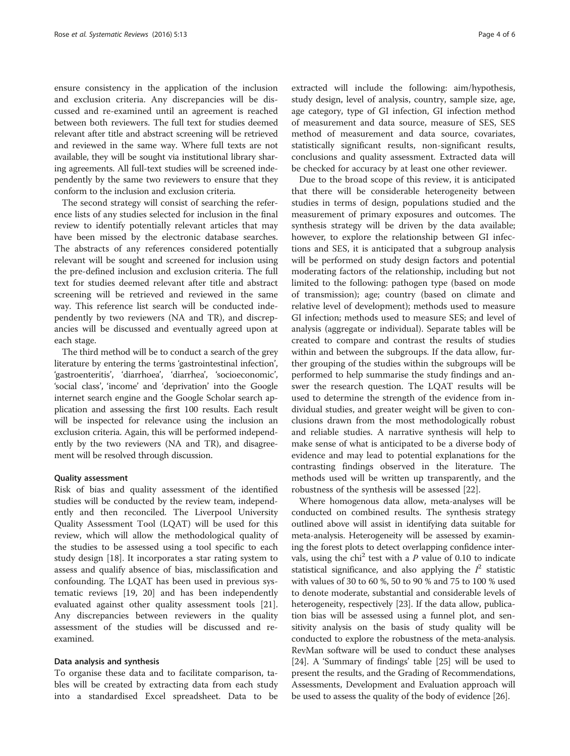ensure consistency in the application of the inclusion and exclusion criteria. Any discrepancies will be discussed and re-examined until an agreement is reached between both reviewers. The full text for studies deemed relevant after title and abstract screening will be retrieved and reviewed in the same way. Where full texts are not available, they will be sought via institutional library sharing agreements. All full-text studies will be screened independently by the same two reviewers to ensure that they conform to the inclusion and exclusion criteria.

The second strategy will consist of searching the reference lists of any studies selected for inclusion in the final review to identify potentially relevant articles that may have been missed by the electronic database searches. The abstracts of any references considered potentially relevant will be sought and screened for inclusion using the pre-defined inclusion and exclusion criteria. The full text for studies deemed relevant after title and abstract screening will be retrieved and reviewed in the same way. This reference list search will be conducted independently by two reviewers (NA and TR), and discrepancies will be discussed and eventually agreed upon at each stage.

The third method will be to conduct a search of the grey literature by entering the terms 'gastrointestinal infection', 'gastroenteritis', 'diarrhoea', 'diarrhea', 'socioeconomic', 'social class', 'income' and 'deprivation' into the Google internet search engine and the Google Scholar search application and assessing the first 100 results. Each result will be inspected for relevance using the inclusion an exclusion criteria. Again, this will be performed independently by the two reviewers (NA and TR), and disagreement will be resolved through discussion.

#### Quality assessment

Risk of bias and quality assessment of the identified studies will be conducted by the review team, independently and then reconciled. The Liverpool University Quality Assessment Tool (LQAT) will be used for this review, which will allow the methodological quality of the studies to be assessed using a tool specific to each study design [[18](#page-5-0)]. It incorporates a star rating system to assess and qualify absence of bias, misclassification and confounding. The LQAT has been used in previous systematic reviews [[19, 20](#page-5-0)] and has been independently evaluated against other quality assessment tools [\[21](#page-5-0)]. Any discrepancies between reviewers in the quality assessment of the studies will be discussed and reexamined.

### Data analysis and synthesis

To organise these data and to facilitate comparison, tables will be created by extracting data from each study into a standardised Excel spreadsheet. Data to be

extracted will include the following: aim/hypothesis, study design, level of analysis, country, sample size, age, age category, type of GI infection, GI infection method of measurement and data source, measure of SES, SES method of measurement and data source, covariates, statistically significant results, non-significant results, conclusions and quality assessment. Extracted data will be checked for accuracy by at least one other reviewer.

Due to the broad scope of this review, it is anticipated that there will be considerable heterogeneity between studies in terms of design, populations studied and the measurement of primary exposures and outcomes. The synthesis strategy will be driven by the data available; however, to explore the relationship between GI infections and SES, it is anticipated that a subgroup analysis will be performed on study design factors and potential moderating factors of the relationship, including but not limited to the following: pathogen type (based on mode of transmission); age; country (based on climate and relative level of development); methods used to measure GI infection; methods used to measure SES; and level of analysis (aggregate or individual). Separate tables will be created to compare and contrast the results of studies within and between the subgroups. If the data allow, further grouping of the studies within the subgroups will be performed to help summarise the study findings and answer the research question. The LQAT results will be used to determine the strength of the evidence from individual studies, and greater weight will be given to conclusions drawn from the most methodologically robust and reliable studies. A narrative synthesis will help to make sense of what is anticipated to be a diverse body of evidence and may lead to potential explanations for the contrasting findings observed in the literature. The methods used will be written up transparently, and the robustness of the synthesis will be assessed [\[22\]](#page-5-0).

Where homogenous data allow, meta-analyses will be conducted on combined results. The synthesis strategy outlined above will assist in identifying data suitable for meta-analysis. Heterogeneity will be assessed by examining the forest plots to detect overlapping confidence intervals, using the  $\text{chi}^2$  test with a P value of 0.10 to indicate statistical significance, and also applying the  $I^2$  statistic with values of 30 to 60 %, 50 to 90 % and 75 to 100 % used to denote moderate, substantial and considerable levels of heterogeneity, respectively [[23](#page-5-0)]. If the data allow, publication bias will be assessed using a funnel plot, and sensitivity analysis on the basis of study quality will be conducted to explore the robustness of the meta-analysis. RevMan software will be used to conduct these analyses [[24](#page-5-0)]. A 'Summary of findings' table [[25](#page-5-0)] will be used to present the results, and the Grading of Recommendations, Assessments, Development and Evaluation approach will be used to assess the quality of the body of evidence [\[26\]](#page-5-0).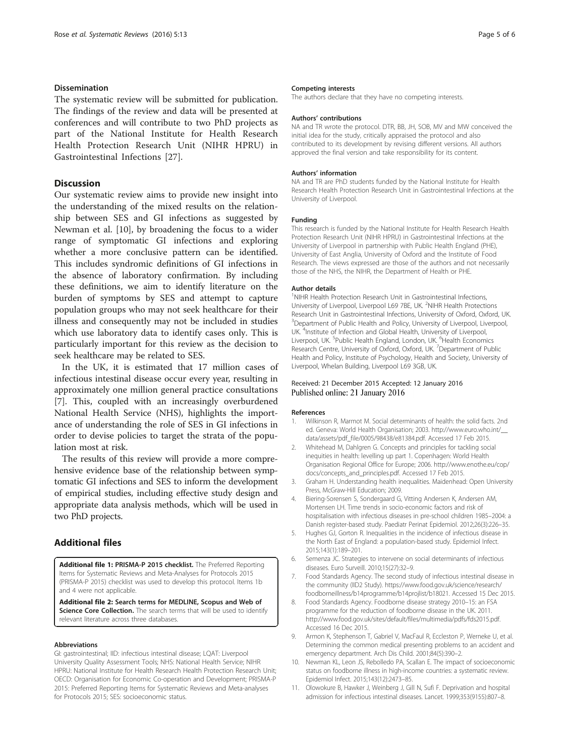# <span id="page-4-0"></span>Dissemination

The systematic review will be submitted for publication. The findings of the review and data will be presented at conferences and will contribute to two PhD projects as part of the National Institute for Health Research Health Protection Research Unit (NIHR HPRU) in Gastrointestinal Infections [[27\]](#page-5-0).

# **Discussion**

Our systematic review aims to provide new insight into the understanding of the mixed results on the relationship between SES and GI infections as suggested by Newman et al. [10], by broadening the focus to a wider range of symptomatic GI infections and exploring whether a more conclusive pattern can be identified. This includes syndromic definitions of GI infections in the absence of laboratory confirmation. By including these definitions, we aim to identify literature on the burden of symptoms by SES and attempt to capture population groups who may not seek healthcare for their illness and consequently may not be included in studies which use laboratory data to identify cases only. This is particularly important for this review as the decision to seek healthcare may be related to SES.

In the UK, it is estimated that 17 million cases of infectious intestinal disease occur every year, resulting in approximately one million general practice consultations [7]. This, coupled with an increasingly overburdened National Health Service (NHS), highlights the importance of understanding the role of SES in GI infections in order to devise policies to target the strata of the population most at risk.

The results of this review will provide a more comprehensive evidence base of the relationship between symptomatic GI infections and SES to inform the development of empirical studies, including effective study design and appropriate data analysis methods, which will be used in two PhD projects.

# Additional files

[Additional file 1:](dx.doi.org/10.1186/s13643-016-0187-7) PRISMA-P 2015 checklist. The Preferred Reporting Items for Systematic Reviews and Meta-Analyses for Protocols 2015 (PRISMA-P 2015) checklist was used to develop this protocol. Items 1b and 4 were not applicable.

[Additional file 2:](dx.doi.org/10.1186/s13643-016-0187-7) Search terms for MEDLINE, Scopus and Web of Science Core Collection. The search terms that will be used to identify relevant literature across three databases.

#### Abbreviations

GI: gastrointestinal; IID: infectious intestinal disease; LQAT: Liverpool University Quality Assessment Tools; NHS: National Health Service; NIHR HPRU: National Institute for Health Research Health Protection Research Unit; OECD: Organisation for Economic Co-operation and Development; PRISMA-P 2015: Preferred Reporting Items for Systematic Reviews and Meta-analyses for Protocols 2015; SES: socioeconomic status.

#### Competing interests

The authors declare that they have no competing interests.

#### Authors' contributions

NA and TR wrote the protocol. DTR, BB, JH, SOB, MV and MW conceived the initial idea for the study, critically appraised the protocol and also contributed to its development by revising different versions. All authors approved the final version and take responsibility for its content.

#### Authors' information

NA and TR are PhD students funded by the National Institute for Health Research Health Protection Research Unit in Gastrointestinal Infections at the University of Liverpool.

#### Funding

This research is funded by the National Institute for Health Research Health Protection Research Unit (NIHR HPRU) in Gastrointestinal Infections at the University of Liverpool in partnership with Public Health England (PHE), University of East Anglia, University of Oxford and the Institute of Food Research. The views expressed are those of the authors and not necessarily those of the NHS, the NIHR, the Department of Health or PHE.

#### Author details

<sup>1</sup>NIHR Health Protection Research Unit in Gastrointestinal Infections, University of Liverpool, Liverpool L69 7BE, UK. <sup>2</sup>NIHR Health Protections Research Unit in Gastrointestinal Infections, University of Oxford, Oxford, UK. <sup>3</sup>Department of Public Health and Policy, University of Liverpool, Liverpool UK.<sup>4</sup> Institute of Infection and Global Health, University of Liverpool, Liverpool, UK. <sup>5</sup>Public Health England, London, UK. <sup>6</sup>Health Economics Research Centre, University of Oxford, Oxford, UK. <sup>7</sup>Department of Public Health and Policy, Institute of Psychology, Health and Society, University of Liverpool, Whelan Building, Liverpool L69 3GB, UK.

### Received: 21 December 2015 Accepted: 12 January 2016 Published online: 21 January 2016

#### References

- 1. Wilkinson R, Marmot M. Social determinants of health: the solid facts. 2nd ed. Geneva: World Health Organisation; 2003. [http://www.euro.who.int/\\_\\_](http://www.euro.who.int/__data/assets/pdf_file/0005/98438/e81384.pdf) [data/assets/pdf\\_file/0005/98438/e81384.pdf](http://www.euro.who.int/__data/assets/pdf_file/0005/98438/e81384.pdf). Accessed 17 Feb 2015.
- 2. Whitehead M, Dahlgren G. Concepts and principles for tackling social inequities in health: levelling up part 1. Copenhagen: World Health Organisation Regional Office for Europe; 2006. [http://www.enothe.eu/cop/](http://www.enothe.eu/cop/docs/concepts_and_principles.pdf) [docs/concepts\\_and\\_principles.pdf](http://www.enothe.eu/cop/docs/concepts_and_principles.pdf). Accessed 17 Feb 2015.
- 3. Graham H. Understanding health inequalities. Maidenhead: Open University Press, McGraw-Hill Education; 2009.
- 4. Biering-Sorensen S, Sondergaard G, Vitting Andersen K, Andersen AM, Mortensen LH. Time trends in socio-economic factors and risk of hospitalisation with infectious diseases in pre-school children 1985–2004: a Danish register-based study. Paediatr Perinat Epidemiol. 2012;26(3):226–35.
- 5. Hughes GJ, Gorton R. Inequalities in the incidence of infectious disease in the North East of England: a population-based study. Epidemiol Infect. 2015;143(1):189–201.
- 6. Semenza JC. Strategies to intervene on social determinants of infectious diseases. Euro Surveill. 2010;15(27):32–9.
- 7. Food Standards Agency. The second study of infectious intestinal disease in the community (IID2 Study). [https://www.food.gov.uk/science/research/](https://www.food.gov.uk/science/research/foodborneillness/b14programme/b14projlist/b18021) [foodborneillness/b14programme/b14projlist/b18021](https://www.food.gov.uk/science/research/foodborneillness/b14programme/b14projlist/b18021). Accessed 15 Dec 2015.
- 8. Food Standards Agency. Foodborne disease strategy 2010–15: an FSA programme for the reduction of foodborne disease in the UK. 2011. <http://www.food.gov.uk/sites/default/files/multimedia/pdfs/fds2015.pdf>. Accessed 16 Dec 2015.
- 9. Armon K, Stephenson T, Gabriel V, MacFaul R, Eccleston P, Werneke U, et al. Determining the common medical presenting problems to an accident and emergency department. Arch Dis Child. 2001;84(5):390–2.
- 10. Newman KL, Leon JS, Rebolledo PA, Scallan E. The impact of socioeconomic status on foodborne illness in high-income countries: a systematic review. Epidemiol Infect. 2015;143(12):2473–85.
- 11. Olowokure B, Hawker J, Weinberg J, Gill N, Sufi F. Deprivation and hospital admission for infectious intestinal diseases. Lancet. 1999;353(9155):807–8.